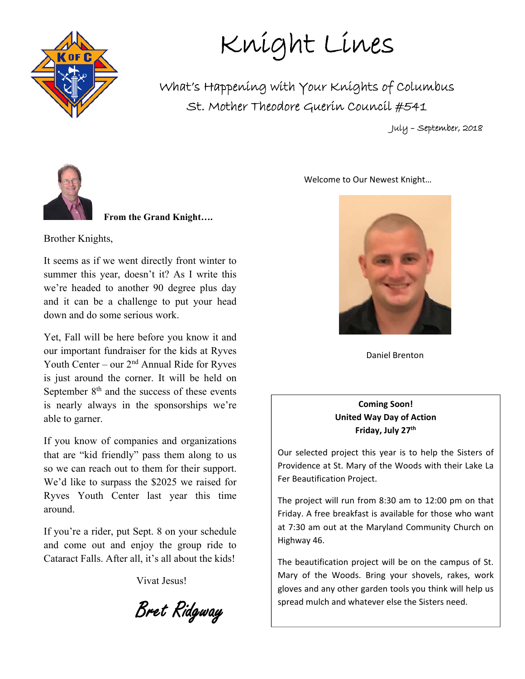

Knight Lines

What's Happening with Your Knights of Columbus St. Mother Theodore Guerin Council #541

July – September, 2018



 **From the Grand Knight….** 

Brother Knights,

It seems as if we went directly front winter to summer this year, doesn't it? As I write this we're headed to another 90 degree plus day and it can be a challenge to put your head down and do some serious work.

Yet, Fall will be here before you know it and our important fundraiser for the kids at Ryves Youth Center – our  $2<sup>nd</sup>$  Annual Ride for Ryves is just around the corner. It will be held on September  $8<sup>th</sup>$  and the success of these events is nearly always in the sponsorships we're able to garner.

If you know of companies and organizations that are "kid friendly" pass them along to us so we can reach out to them for their support. We'd like to surpass the \$2025 we raised for Ryves Youth Center last year this time around.

If you're a rider, put Sept. 8 on your schedule and come out and enjoy the group ride to Cataract Falls. After all, it's all about the kids!

Vivat Jesus!

Bret Ridgway

Welcome to Our Newest Knight…



Daniel Brenton

**Coming Soon! United Way Day of Action Friday, July 27th** 

Our selected project this year is to help the Sisters of Providence at St. Mary of the Woods with their Lake La Fer Beautification Project.

The project will run from 8:30 am to 12:00 pm on that Friday. A free breakfast is available for those who want at 7:30 am out at the Maryland Community Church on Highway 46.

The beautification project will be on the campus of St. Mary of the Woods. Bring your shovels, rakes, work gloves and any other garden tools you think will help us spread mulch and whatever else the Sisters need.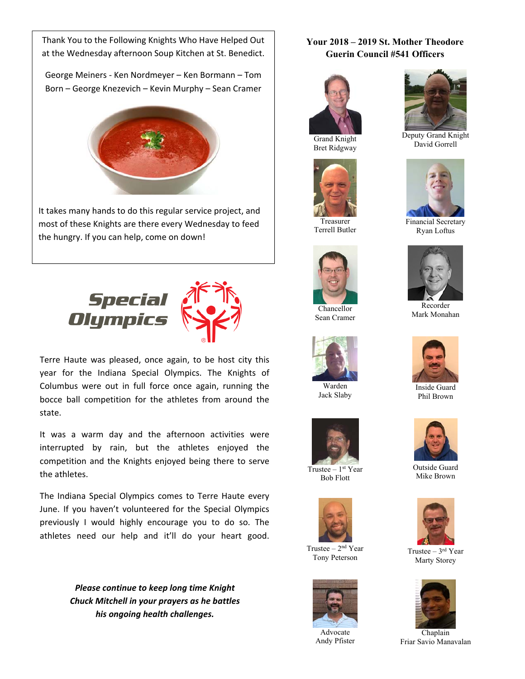Thank You to the Following Knights Who Have Helped Out  at the Wednesday afternoon Soup Kitchen at St. Benedict.

George Meiners ‐ Ken Nordmeyer – Ken Bormann – Tom Born – George Knezevich – Kevin Murphy – Sean Cramer



It takes many hands to do this regular service project, and most of these Knights are there every Wednesday to feed the hungry. If you can help, come on down!

 $\overline{\phantom{a}}$ 



Terre Haute was pleased, once again, to be host city this year for the Indiana Special Olympics. The Knights of Columbus were out in full force once again, running the bocce ball competition for the athletes from around the state.

It was a warm day and the afternoon activities were interrupted by rain, but the athletes enjoyed the competition and the Knights enjoyed being there to serve the athletes.

The Indiana Special Olympics comes to Terre Haute every June. If you haven't volunteered for the Special Olympics previously I would highly encourage you to do so. The athletes need our help and it'll do your heart good.

> *Please continue to keep long time Knight Chuck Mitchell in your prayers as he battles his ongoing health challenges.*

#### **Your 2018 – 2019 St. Mother Theodore Guerin Council #541 Officers**



Bret Ridgway



Treasurer Terrell Butler



Chancellor Sean Cramer



Warden Jack Slaby



Trustee  $-1<sup>st</sup>$  Year Bob Flott



Trustee  $-2<sup>nd</sup>$  Year Tony Peterson



Advocate Andy Pfister



Deputy Grand Knight David Gorrell



Financial Secretary Ryan Loftus



Recorder Mark Monahan



Inside Guard Phil Brown



Outside Guard Mike Brown



Trustee – 3rd Year Marty Storey



Chaplain Friar Savio Manavalan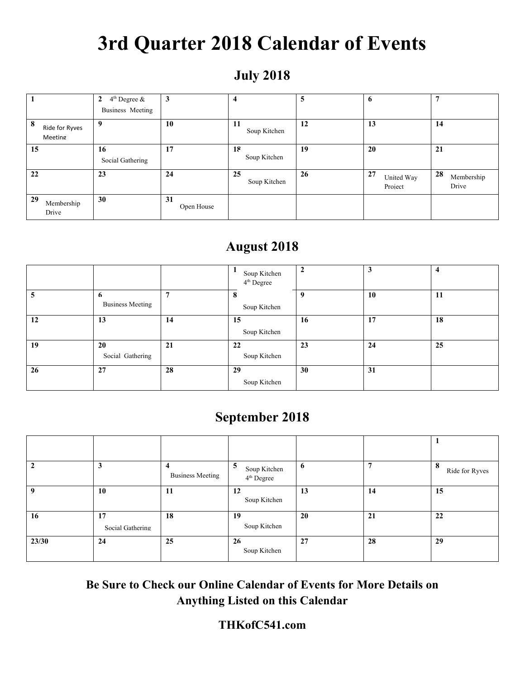# **3rd Quarter 2018 Calendar of Events**

### **July 2018**

|                                | $4th$ Degree &<br>$\mathbf{2}$<br>Business Meeting | $\mathbf{3}$     | 4                   | 5  | 6                           | п,                        |
|--------------------------------|----------------------------------------------------|------------------|---------------------|----|-----------------------------|---------------------------|
| 8<br>Ride for Ryves<br>Meeting | 9                                                  | 10               | -11<br>Soup Kitchen | 12 | 13                          | 14                        |
| 15                             | 16<br>Social Gathering                             | 17               | 18<br>Soup Kitchen  | 19 | 20                          | 21                        |
| 22                             | 23                                                 | 24               | 25<br>Soup Kitchen  | 26 | 27<br>United Way<br>Project | 28<br>Membership<br>Drive |
| 29<br>Membership<br>Drive      | 30                                                 | 31<br>Open House |                     |    |                             |                           |

#### **August 2018**

|    |                              |                | Soup Kitchen<br>4 <sup>th</sup> Degree | $\overline{2}$ | 3  |    |
|----|------------------------------|----------------|----------------------------------------|----------------|----|----|
| 5  | 6<br><b>Business Meeting</b> | $\overline{ }$ | 8<br>Soup Kitchen                      | 9              | 10 | 11 |
| 12 | 13                           | 14             | 15<br>Soup Kitchen                     | 16             | 17 | 18 |
| 19 | 20<br>Social Gathering       | 21             | 22<br>Soup Kitchen                     | 23             | 24 | 25 |
| 26 | 27                           | 28             | 29<br>Soup Kitchen                     | 30             | 31 |    |

### **September 2018**

|             | 3                      | $\overline{\bf{4}}$<br><b>Business Meeting</b> | 5<br>Soup Kitchen<br>4 <sup>th</sup> Degree | 6  | 7  | 8<br>Ride for Ryves |
|-------------|------------------------|------------------------------------------------|---------------------------------------------|----|----|---------------------|
| $\mathbf q$ | 10                     | 11                                             | 12<br>Soup Kitchen                          | 13 | 14 | 15                  |
| 16          | 17<br>Social Gathering | 18                                             | 19<br>Soup Kitchen                          | 20 | 21 | 22                  |
| 23/30       | 24                     | 25                                             | 26<br>Soup Kitchen                          | 27 | 28 | 29                  |

**Be Sure to Check our Online Calendar of Events for More Details on Anything Listed on this Calendar** 

#### **THKofC541.com**